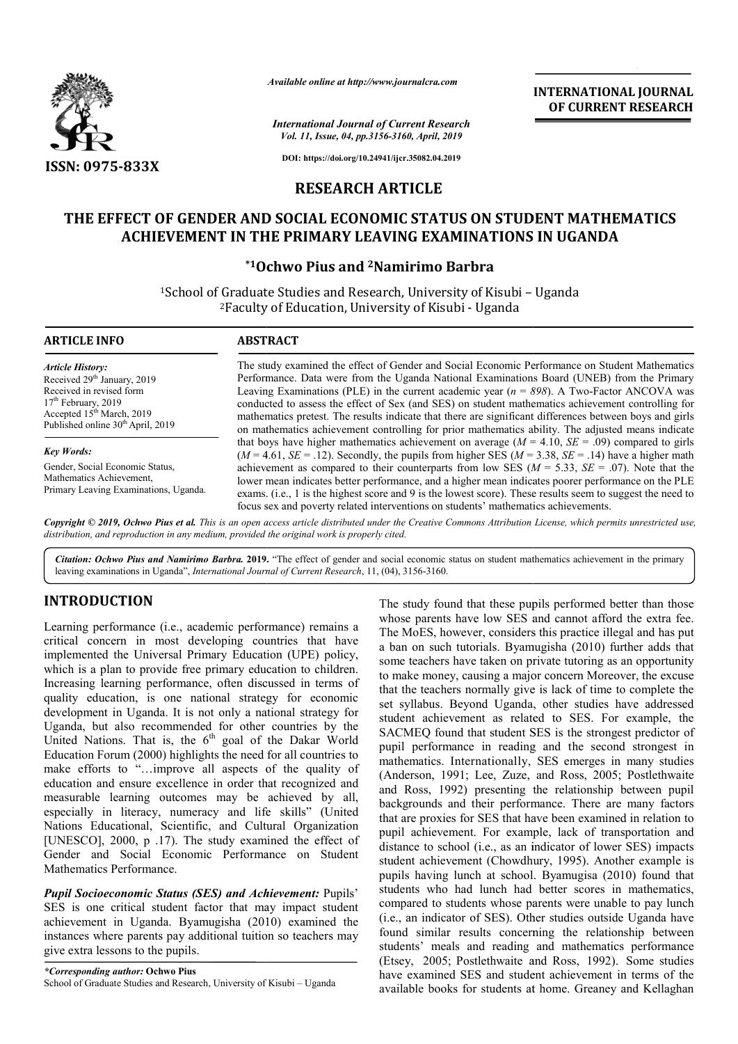

*Available online at http://www.journalcra.com*

*International Journal of Current Research Vol. 11, Issue, 04, pp.3156-3160, April, 2019*

**INTERNATIONAL JOURNAL OF CURRENT RESEARCH**

**DOI: https://doi.org/10.24941/ijcr.35082.04.2019**

## **RESEARCH ARTICLE**

# **THE EFFECT OF GENDER AND SOCIAL ECONOMIC STATUS ON STUDENT MATHEMATICS THE EFFECT SOCIAL ECONOMIC IN THE PRIMARY ACHIEVEMENT IN THE PRIMARY LEAVING EXAMINATIONS IN UGANDA**

## **\*1Ochwo Pius and Ochwo 2Namirimo Barbra**

<sup>1</sup>School of Graduate Studies and Research, University of Kisubi - Uganda <sup>2</sup>Faculty of Education, University of Kisubi - Uganda

#### **ARTICLE INFO ABSTRACT**

*Article History:* Received 29<sup>th</sup> January, 2019 Received in revised form 17<sup>th</sup> February, 2019 Accepted  $15<sup>th</sup>$  March, 2019 Published online 30<sup>th</sup> April, 2019

*Key Words:*

Gender, Social Economic Status, Mathematics Achievement, Primary Leaving Examinations, Uganda.

The study examined the effect of Gender and Social Economic Performance on Student Mathematics Performance. Data were from the Uganda National Examinations Board (UNEB) from the Primary The study examined the effect of Gender and Social Economic Performance on Student Mathematics Performance. Data were from the Uganda National Examinations Board (UNEB) from the Primary Leaving Examinations (PLE) in the c conducted to assess the effect of Sex (and SES) on student mathematics achievement controlling for conducted to assess the effect of Sex (and SES) on student mathematics achievement controlling for mathematics pretest. The results indicate that there are significant differences between boys and girls conducted to assess the effect of Sex (and SES) on student mathematics achievement controlling for mathematics pretest. The results indicate that there are significant differences between boys and girls on mathematics achi that boys have higher mathematics achievement on average  $(M = 4.10, SE = .09)$  compared to girls  $(M = 4.61, SE = .12)$ . Secondly, the pupils from higher SES  $(M = 3.38, SE = .14)$  have a higher math achievement as compared to their counterparts from low SES ( $M = 5.33$ ,  $SE = .07$ ). Note that the lower mean indicates better performance, and a higher mean indicates poorer performance on the PLE lower mean indicates better performance, and a higher mean indicates poorer performance on the PLE exams. (i.e., 1 is the highest score and 9 is the lowest score). These results seem to suggest the need to focus sex and poverty related interventions on students' mathematics achievements.

Copyright © 2019, Ochwo Pius et al. This is an open access article distributed under the Creative Commons Attribution License, which permits unrestricted use, *distribution, and reproduction in any medium, provided the original work is properly cited.*

Citation: Ochwo Pius and Namirimo Barbra. 2019. "The effect of gender and social economic status on student mathematics achievement in the primary leaving examinations in Uganda", *International Journal of Current Research*, 11, (04), 3156-3160.

# **INTRODUCTION**

Learning performance (i.e., academic performance) remains a critical concern in most developing countries that have implemented the Universal Primary Education (UPE) policy, which is a plan to provide free primary education to children. Increasing learning performance, often discussed in terms of quality education, is one national strategy for economic development in Uganda. It is not only a national strategy for Uganda, but also recommended for other countries by the United Nations. That is, the  $6<sup>th</sup>$  goal of the Dakar World Education Forum (2000) highlights the need for all countries to make efforts to "…improve all aspects of the quality of education and ensure excellence in order that recognized and measurable learning outcomes may be achieved by all, especially in literacy, numeracy and life skills" (United Nations Educational, Scientific, and Cultural Organization [UNESCO], 2000, p .17). The study examined the effect of Gender and Social Economic Performance on Student Mathematics Performance. ed Nations. That is, the 6<sup>th</sup> goal of<br>cation Forum (2000) highlights the need<br>e efforts to "...improve all aspects<br>ation and ensure excellence in order th<br>surable learning outcomes may be<br>cially in literacy, numeracy and

**Pupil Socioeconomic Status (SES) and Achievement: Pupils'** SES is one critical student factor that may impact student achievement in Uganda. Byamugisha (2010) examined the instances where parents pay additional tuition so teachers may give extra lessons to the pupils.

*\*Corresponding author:* **Ochwo Pius**  School of Graduate Studies and Research, University of Kisubi – Uganda

The study found that these pupils performed better than those whose parents have low SES and cannot afford the extra fee. The MoES, however, considers this practice illegal and has put The MoES, however, considers this practice illegal and has put a ban on such tutorials. Byamugisha (2010) further adds that some teachers have taken on private tutoring as an opportunity some teachers have taken on private tutoring as an opportunity<br>to make money, causing a major concern Moreover, the excuse that the teachers normally give is lack of time to complete the set syllabus. Beyond Uganda, other studies have addressed set syllabus. Beyond Uganda, other studies have addressed student achievement as related to SES. For example, the SACMEQ found that student SES is the strongest predictor of pupil performance in reading and the second strongest in mathematics. Internationally, SES emerges in many studies (Anderson, 1991; Lee, Zuze, and Ross, 2005; Postlethwaite and Ross, 1992) presenting the relationship between pupil backgrounds and their performance. There are many factors that are proxies for SES that have been examined in relation to pupil achievement. For example, lack of transportation and distance to school (i.e., as an indicator of lower SES) impacts that are proxies for SES that have been examined in relation to pupil achievement. For example, lack of transportation and distance to school (i.e., as an indicator of lower SES) impacts student achievement (Chowdhury, 199 pupils having lunch at school. Byamugisa (2010) found that students who had lunch had better scores in mathematics, compared to students whose parents were unable to pay lunch pupils having lunch at school. Byamugisa (2010) found that students who had lunch had better scores in mathematics, compared to students whose parents were unable to pay lunch (i.e., an indicator of SES). Other studies out found similar results concerning the relationship between students' meals and reading and mathematics performance found similar results concerning the relationship between<br>students' meals and reading and mathematics performance<br>(Etsey, 2005; Postlethwaite and Ross, 1992). Some studies have examined SES and student achievement in terms of the have examined SES and student achievement in terms of the available books for students at home. Greaney and Kellaghan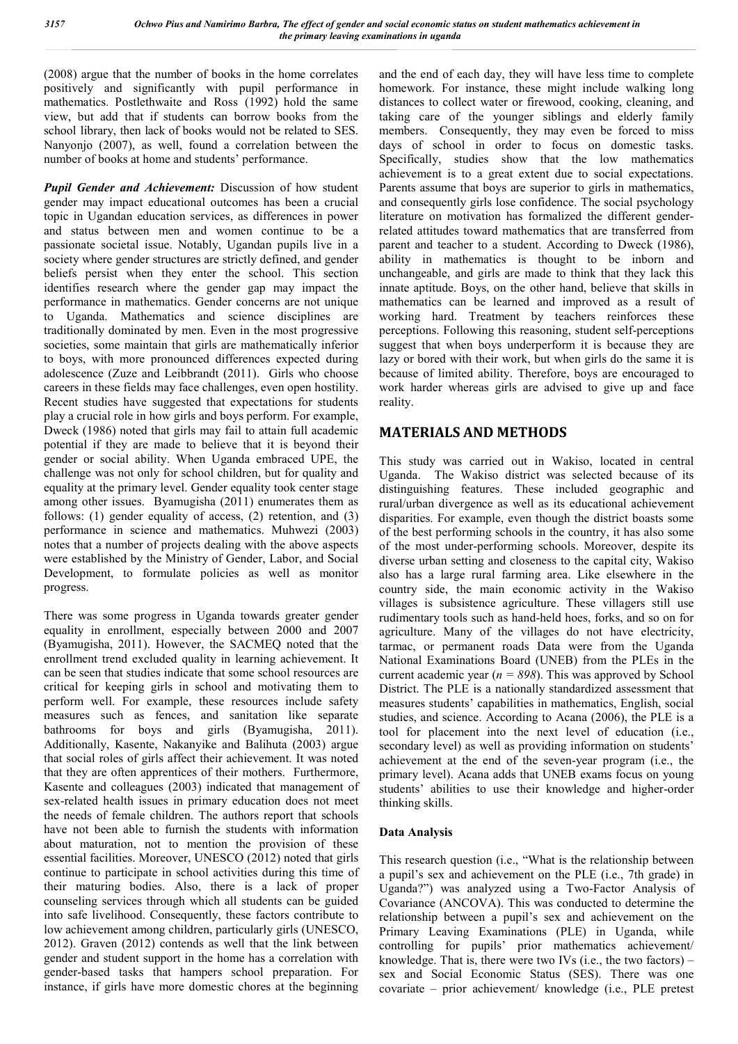(2008) argue that the number of books in the home correlates positively and significantly with pupil performance in mathematics*.* Postlethwaite and Ross (1992) hold the same view, but add that if students can borrow books from the school library, then lack of books would not be related to SES. Nanyonjo (2007), as well, found a correlation between the number of books at home and students' performance.

*Pupil Gender and Achievement:* Discussion of how student gender may impact educational outcomes has been a crucial topic in Ugandan education services, as differences in power and status between men and women continue to be a passionate societal issue. Notably, Ugandan pupils live in a society where gender structures are strictly defined, and gender beliefs persist when they enter the school. This section identifies research where the gender gap may impact the performance in mathematics. Gender concerns are not unique to Uganda. Mathematics and science disciplines are traditionally dominated by men. Even in the most progressive societies, some maintain that girls are mathematically inferior to boys, with more pronounced differences expected during adolescence (Zuze and Leibbrandt (2011). Girls who choose careers in these fields may face challenges, even open hostility. Recent studies have suggested that expectations for students play a crucial role in how girls and boys perform. For example, Dweck (1986) noted that girls may fail to attain full academic potential if they are made to believe that it is beyond their gender or social ability. When Uganda embraced UPE, the challenge was not only for school children, but for quality and equality at the primary level. Gender equality took center stage among other issues. Byamugisha (2011) enumerates them as follows: (1) gender equality of access, (2) retention, and (3) performance in science and mathematics. Muhwezi (2003) notes that a number of projects dealing with the above aspects were established by the Ministry of Gender, Labor, and Social Development, to formulate policies as well as monitor progress.

There was some progress in Uganda towards greater gender equality in enrollment, especially between 2000 and 2007 (Byamugisha, 2011). However, the SACMEQ noted that the enrollment trend excluded quality in learning achievement. It can be seen that studies indicate that some school resources are critical for keeping girls in school and motivating them to perform well. For example, these resources include safety measures such as fences, and sanitation like separate bathrooms for boys and girls (Byamugisha, 2011). Additionally, Kasente, Nakanyike and Balihuta (2003) argue that social roles of girls affect their achievement. It was noted that they are often apprentices of their mothers. Furthermore, Kasente and colleagues (2003) indicated that management of sex-related health issues in primary education does not meet the needs of female children. The authors report that schools have not been able to furnish the students with information about maturation, not to mention the provision of these essential facilities. Moreover, UNESCO (2012) noted that girls continue to participate in school activities during this time of their maturing bodies. Also, there is a lack of proper counseling services through which all students can be guided into safe livelihood. Consequently, these factors contribute to low achievement among children, particularly girls (UNESCO, 2012). Graven (2012) contends as well that the link between gender and student support in the home has a correlation with gender-based tasks that hampers school preparation. For instance, if girls have more domestic chores at the beginning and the end of each day, they will have less time to complete homework. For instance, these might include walking long distances to collect water or firewood, cooking, cleaning, and taking care of the younger siblings and elderly family members. Consequently, they may even be forced to miss days of school in order to focus on domestic tasks. Specifically, studies show that the low mathematics achievement is to a great extent due to social expectations. Parents assume that boys are superior to girls in mathematics, and consequently girls lose confidence. The social psychology literature on motivation has formalized the different genderrelated attitudes toward mathematics that are transferred from parent and teacher to a student. According to Dweck (1986), ability in mathematics is thought to be inborn and unchangeable, and girls are made to think that they lack this innate aptitude. Boys, on the other hand, believe that skills in mathematics can be learned and improved as a result of working hard. Treatment by teachers reinforces these perceptions. Following this reasoning, student self-perceptions suggest that when boys underperform it is because they are lazy or bored with their work, but when girls do the same it is because of limited ability. Therefore, boys are encouraged to work harder whereas girls are advised to give up and face reality.

## **MATERIALS AND METHODS**

This study was carried out in Wakiso, located in central Uganda. The Wakiso district was selected because of its distinguishing features. These included geographic and rural/urban divergence as well as its educational achievement disparities. For example, even though the district boasts some of the best performing schools in the country, it has also some of the most under-performing schools. Moreover, despite its diverse urban setting and closeness to the capital city, Wakiso also has a large rural farming area. Like elsewhere in the country side, the main economic activity in the Wakiso villages is subsistence agriculture. These villagers still use rudimentary tools such as hand-held hoes, forks, and so on for agriculture. Many of the villages do not have electricity, tarmac, or permanent roads Data were from the Uganda National Examinations Board (UNEB) from the PLEs in the current academic year  $(n = 898)$ . This was approved by School District. The PLE is a nationally standardized assessment that measures students' capabilities in mathematics, English, social studies, and science. According to Acana (2006), the PLE is a tool for placement into the next level of education (i.e., secondary level) as well as providing information on students' achievement at the end of the seven-year program (i.e., the primary level). Acana adds that UNEB exams focus on young students' abilities to use their knowledge and higher-order thinking skills.

#### **Data Analysis**

This research question (i.e., "What is the relationship between a pupil's sex and achievement on the PLE (i.e., 7th grade) in Uganda?") was analyzed using a Two-Factor Analysis of Covariance (ANCOVA). This was conducted to determine the relationship between a pupil's sex and achievement on the Primary Leaving Examinations (PLE) in Uganda, while controlling for pupils' prior mathematics achievement/ knowledge. That is, there were two IVs  $(i.e., the two factors)$  – sex and Social Economic Status (SES). There was one covariate – prior achievement/ knowledge (i.e., PLE pretest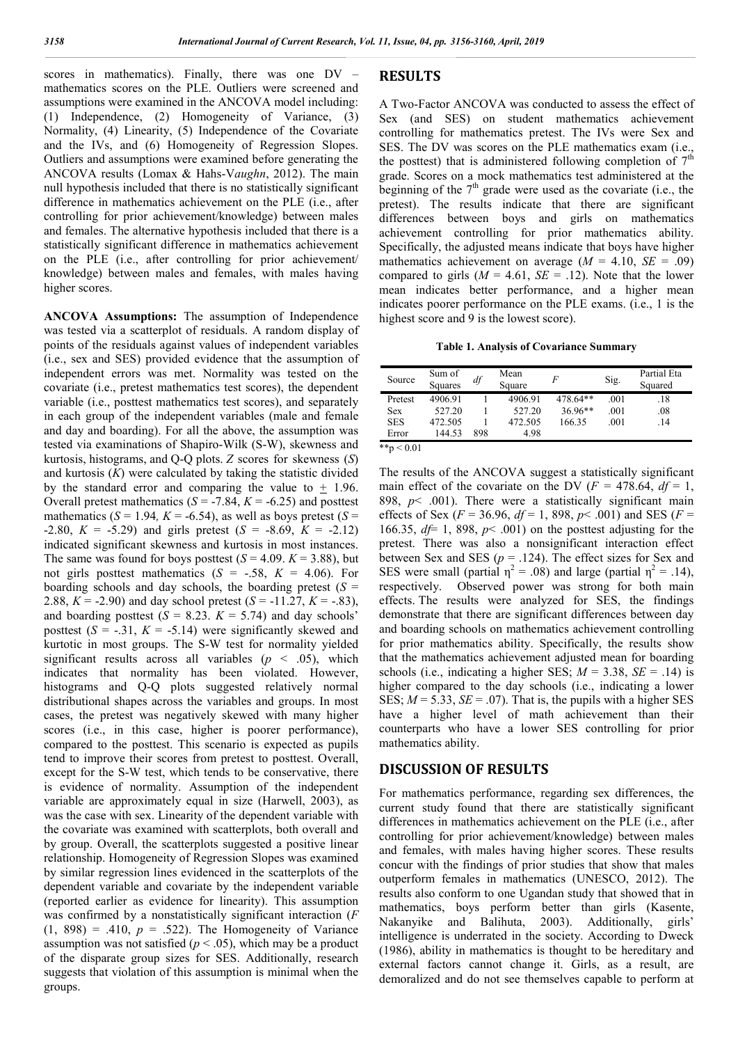scores in mathematics). Finally, there was one DV – mathematics scores on the PLE. Outliers were screened and assumptions were examined in the ANCOVA model including: (1) Independence, (2) Homogeneity of Variance, (3) Normality, (4) Linearity, (5) Independence of the Covariate and the IVs, and (6) Homogeneity of Regression Slopes. Outliers and assumptions were examined before generating the ANCOVA results (Lomax & Hahs-V*aughn*, 2012). The main null hypothesis included that there is no statistically significant difference in mathematics achievement on the PLE (i.e., after controlling for prior achievement/knowledge) between males and females. The alternative hypothesis included that there is a statistically significant difference in mathematics achievement on the PLE (i.e., after controlling for prior achievement/ knowledge) between males and females, with males having higher scores.

**ANCOVA Assumptions:** The assumption of Independence was tested via a scatterplot of residuals. A random display of points of the residuals against values of independent variables (i.e., sex and SES) provided evidence that the assumption of independent errors was met. Normality was tested on the covariate (i.e., pretest mathematics test scores), the dependent variable (i.e., posttest mathematics test scores), and separately in each group of the independent variables (male and female and day and boarding). For all the above, the assumption was tested via examinations of Shapiro-Wilk (S-W), skewness and kurtosis, histograms, and Q-Q plots. *Z* scores for skewness (*S*) and kurtosis (*K*) were calculated by taking the statistic divided by the standard error and comparing the value to  $+$  1.96. Overall pretest mathematics  $(S = -7.84, K = -6.25)$  and posttest mathematics ( $S = 1.94$ ,  $K = -6.54$ ), as well as boys pretest ( $S =$ -2.80,  $K = -5.29$ ) and girls pretest  $(S = -8.69, K = -2.12)$ indicated significant skewness and kurtosis in most instances. The same was found for boys posttest  $(S = 4.09, K = 3.88)$ , but not girls posttest mathematics  $(S = -.58, K = 4.06)$ . For boarding schools and day schools, the boarding pretest  $(S =$ 2.88,  $K = -2.90$ ) and day school pretest  $(S = -11.27, K = -0.83)$ , and boarding posttest  $(S = 8.23, K = 5.74)$  and day schools' posttest  $(S = -.31, K = -5.14)$  were significantly skewed and kurtotic in most groups. The S-W test for normality yielded significant results across all variables ( $p \leq .05$ ), which indicates that normality has been violated. However, histograms and Q-Q plots suggested relatively normal distributional shapes across the variables and groups. In most cases, the pretest was negatively skewed with many higher scores (i.e., in this case, higher is poorer performance), compared to the posttest. This scenario is expected as pupils tend to improve their scores from pretest to posttest. Overall, except for the S-W test, which tends to be conservative, there is evidence of normality. Assumption of the independent variable are approximately equal in size (Harwell, 2003), as was the case with sex. Linearity of the dependent variable with the covariate was examined with scatterplots, both overall and by group. Overall, the scatterplots suggested a positive linear relationship. Homogeneity of Regression Slopes was examined by similar regression lines evidenced in the scatterplots of the dependent variable and covariate by the independent variable (reported earlier as evidence for linearity). This assumption was confirmed by a nonstatistically significant interaction (*F*   $(1, 898) = .410$ ,  $p = .522$ ). The Homogeneity of Variance assumption was not satisfied ( $p < .05$ ), which may be a product of the disparate group sizes for SES. Additionally, research suggests that violation of this assumption is minimal when the groups.

#### **RESULTS**

A Two-Factor ANCOVA was conducted to assess the effect of Sex (and SES) on student mathematics achievement controlling for mathematics pretest. The IVs were Sex and SES. The DV was scores on the PLE mathematics exam (i.e., the posttest) that is administered following completion of  $7<sup>th</sup>$ grade. Scores on a mock mathematics test administered at the beginning of the  $7<sup>th</sup>$  grade were used as the covariate (i.e., the pretest). The results indicate that there are significant differences between boys and girls on mathematics achievement controlling for prior mathematics ability. Specifically, the adjusted means indicate that boys have higher mathematics achievement on average  $(M = 4.10, SE = .09)$ compared to girls  $(M = 4.61, SE = .12)$ . Note that the lower mean indicates better performance, and a higher mean indicates poorer performance on the PLE exams. (i.e., 1 is the highest score and 9 is the lowest score).

**Table 1. Analysis of Covariance Summary**

| Source       | Sum of<br>Squares | df  | Mean<br>Square | F         | Sig. | Partial Eta<br>Squared |
|--------------|-------------------|-----|----------------|-----------|------|------------------------|
| Pretest      | 4906.91           |     | 4906.91        | 478.64**  | .001 | .18                    |
| Sex          | 527.20            |     | 527.20         | $36.96**$ | .001 | .08                    |
| <b>SES</b>   | 472.505           |     | 472.505        | 166.35    | .001 | .14                    |
| Error        | 144.53            | 898 | 4.98           |           |      |                        |
| **p $< 0.01$ |                   |     |                |           |      |                        |

The results of the ANCOVA suggest a statistically significant main effect of the covariate on the DV  $(F = 478.64, df = 1,$ 898,  $p$ < .001). There were a statistically significant main effects of Sex ( $F = 36.96$ ,  $df = 1$ , 898,  $p < .001$ ) and SES ( $F =$ 166.35, *df*= 1, 898, *p*< .001) on the posttest adjusting for the pretest. There was also a nonsignificant interaction effect between Sex and SES ( $p = .124$ ). The effect sizes for Sex and SES were small (partial  $\eta^2 = .08$ ) and large (partial  $\eta^2 = .14$ ), respectively. Observed power was strong for both main effects. The results were analyzed for SES, the findings demonstrate that there are significant differences between day and boarding schools on mathematics achievement controlling for prior mathematics ability. Specifically, the results show that the mathematics achievement adjusted mean for boarding schools (i.e., indicating a higher SES;  $M = 3.38$ ,  $SE = .14$ ) is higher compared to the day schools (i.e., indicating a lower SES;  $M = 5.33$ ,  $SE = .07$ ). That is, the pupils with a higher SES have a higher level of math achievement than their counterparts who have a lower SES controlling for prior mathematics ability.

#### **DISCUSSION OF RESULTS**

For mathematics performance, regarding sex differences, the current study found that there are statistically significant differences in mathematics achievement on the PLE (i.e., after controlling for prior achievement/knowledge) between males and females, with males having higher scores. These results concur with the findings of prior studies that show that males outperform females in mathematics (UNESCO, 2012). The results also conform to one Ugandan study that showed that in mathematics, boys perform better than girls (Kasente, Nakanyike and Balihuta, 2003). Additionally, girls' intelligence is underrated in the society. According to Dweck (1986), ability in mathematics is thought to be hereditary and external factors cannot change it. Girls, as a result, are demoralized and do not see themselves capable to perform at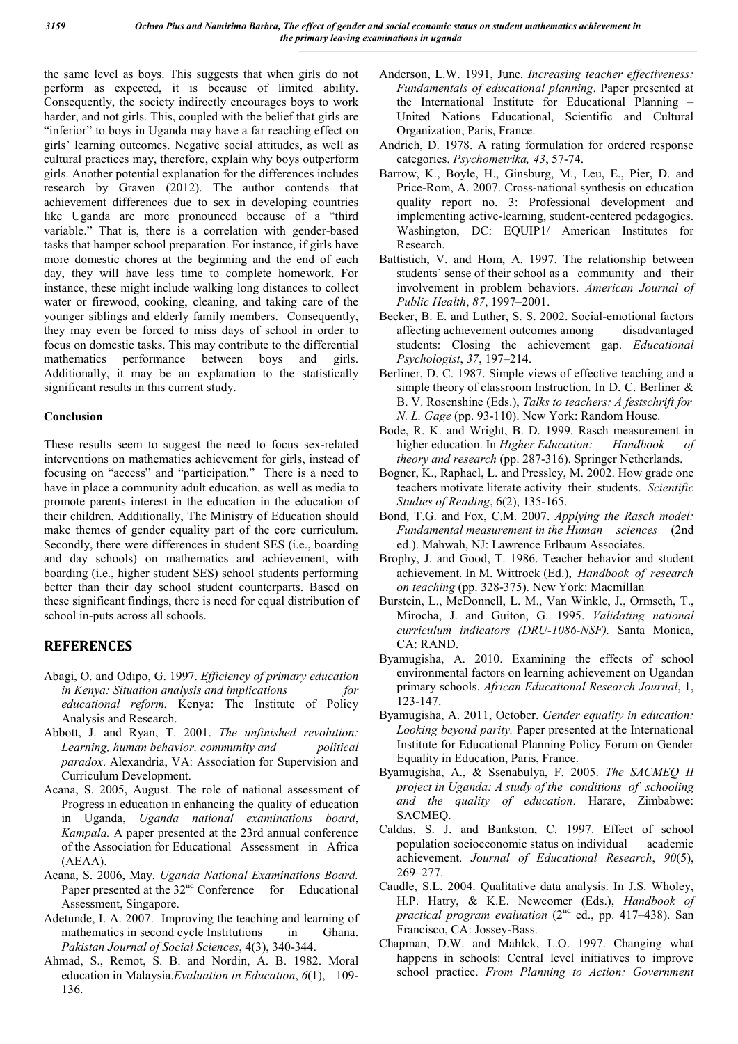the same level as boys. This suggests that when girls do not perform as expected, it is because of limited ability. Consequently, the society indirectly encourages boys to work harder, and not girls. This, coupled with the belief that girls are "inferior" to boys in Uganda may have a far reaching effect on girls' learning outcomes. Negative social attitudes, as well as cultural practices may, therefore, explain why boys outperform girls. Another potential explanation for the differences includes research by Graven (2012). The author contends that achievement differences due to sex in developing countries like Uganda are more pronounced because of a "third variable." That is, there is a correlation with gender-based tasks that hamper school preparation. For instance, if girls have more domestic chores at the beginning and the end of each day, they will have less time to complete homework. For instance, these might include walking long distances to collect water or firewood, cooking, cleaning, and taking care of the younger siblings and elderly family members. Consequently, they may even be forced to miss days of school in order to focus on domestic tasks. This may contribute to the differential mathematics performance between boys and girls. Additionally, it may be an explanation to the statistically significant results in this current study.

#### **Conclusion**

These results seem to suggest the need to focus sex-related interventions on mathematics achievement for girls, instead of focusing on "access" and "participation." There is a need to have in place a community adult education, as well as media to promote parents interest in the education in the education of their children. Additionally, The Ministry of Education should make themes of gender equality part of the core curriculum. Secondly, there were differences in student SES (i.e., boarding and day schools) on mathematics and achievement, with boarding (i.e., higher student SES) school students performing better than their day school student counterparts. Based on these significant findings, there is need for equal distribution of school in-puts across all schools.

### **REFERENCES**

- Abagi, O. and Odipo, G. 1997. *Efficiency of primary education in Kenya: Situation analysis and implications for educational reform.* Kenya: The Institute of Policy Analysis and Research.
- Abbott, J. and Ryan, T. 2001. *The unfinished revolution: Learning, human behavior, community and political paradox*. Alexandria, VA: Association for Supervision and Curriculum Development.
- Acana, S. 2005, August. The role of national assessment of Progress in education in enhancing the quality of education in Uganda, *Uganda national examinations board*, *Kampala.* A paper presented at the 23rd annual conference of the Association for Educational Assessment in Africa (AEAA).
- Acana, S. 2006, May. *Uganda National Examinations Board.* Paper presented at the  $32<sup>nd</sup>$  Conference for Educational Assessment, Singapore.
- Adetunde, I. A. 2007. Improving the teaching and learning of mathematics in second cycle Institutions in Ghana. *Pakistan Journal of Social Sciences*, 4(3), 340-344.
- Ahmad, S., Remot, S. B. and Nordin, A. B. 1982. Moral education in Malaysia.*Evaluation in Education*, *6*(1), 109- 136.
- Anderson, L.W. 1991, June. *Increasing teacher effectiveness: Fundamentals of educational planning*. Paper presented at the International Institute for Educational Planning – United Nations Educational, Scientific and Cultural Organization, Paris, France.
- Andrich, D. 1978. A rating formulation for ordered response categories. *Psychometrika, 43*, 57-74.
- Barrow, K., Boyle, H., Ginsburg, M., Leu, E., Pier, D. and Price-Rom, A. 2007. Cross-national synthesis on education quality report no. 3: Professional development and implementing active-learning, student-centered pedagogies. Washington, DC: EQUIP1/ American Institutes for Research.
- Battistich, V. and Hom, A. 1997. The relationship between students' sense of their school as a community and their involvement in problem behaviors. *American Journal of Public Health*, *87*, 1997–2001.
- Becker, B. E. and Luther, S. S. 2002. Social-emotional factors affecting achievement outcomes among disadvantaged students: Closing the achievement gap. *Educational Psychologist*, *37*, 197–214.
- Berliner, D. C. 1987. Simple views of effective teaching and a simple theory of classroom Instruction. In D. C. Berliner & B. V. Rosenshine (Eds.), *Talks to teachers: A festschrift for N. L. Gage* (pp. 93-110). New York: Random House.
- Bode, R. K. and Wright, B. D. 1999. Rasch measurement in higher education. In *Higher Education: Handbook of theory and research* (pp. 287-316). Springer Netherlands.
- Bogner, K., Raphael, L. and Pressley, M. 2002. How grade one teachers motivate literate activity their students. *Scientific Studies of Reading*, 6(2), 135-165.
- Bond, T.G. and Fox, C.M. 2007. *Applying the Rasch model: Fundamental measurement in the Human sciences* (2nd ed.). Mahwah, NJ: Lawrence Erlbaum Associates.
- Brophy, J. and Good, T. 1986. Teacher behavior and student achievement. In M. Wittrock (Ed.), *Handbook of research on teaching* (pp. 328-375). New York: Macmillan
- Burstein, L., McDonnell, L. M., Van Winkle, J., Ormseth, T., Mirocha, J. and Guiton, G. 1995. *Validating national curriculum indicators (DRU-1086-NSF).* Santa Monica, CA: RAND.
- Byamugisha, A. 2010. Examining the effects of school environmental factors on learning achievement on Ugandan primary schools. *African Educational Research Journal*, 1, 123-147.
- Byamugisha, A. 2011, October. *Gender equality in education: Looking beyond parity.* Paper presented at the International Institute for Educational Planning Policy Forum on Gender Equality in Education, Paris, France.
- Byamugisha, A., & Ssenabulya, F. 2005. *The SACMEQ II project in Uganda: A study of the conditions of schooling and the quality of education*. Harare, Zimbabwe: SACMEQ.
- Caldas, S. J. and Bankston, C. 1997. Effect of school population socioeconomic status on individual academic achievement. *Journal of Educational Research*, *90*(5), 269–277.
- Caudle, S.L. 2004. Qualitative data analysis. In J.S. Wholey, H.P. Hatry, & K.E. Newcomer (Eds.), *Handbook of practical program evaluation* (2<sup>nd</sup> ed., pp. 417–438). San Francisco, CA: Jossey-Bass.
- Chapman, D.W. and Mählck, L.O. 1997. Changing what happens in schools: Central level initiatives to improve school practice. *From Planning to Action: Government*